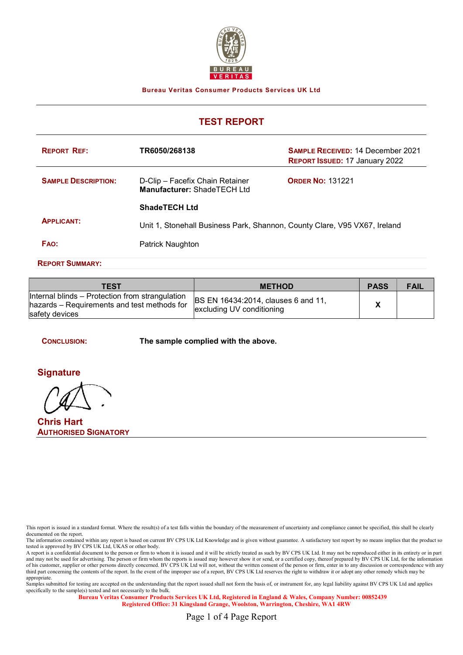

Bureau Veritas Consumer Products Services UK Ltd

# TEST REPORT

| <b>REPORT REF:</b>                                                                             | TR6050/268138                                                  | <b>SAMPLE RECEIVED: 14 December 2021</b><br><b>REPORT ISSUED: 17 January 2022</b> |
|------------------------------------------------------------------------------------------------|----------------------------------------------------------------|-----------------------------------------------------------------------------------|
| <b>SAMPLE DESCRIPTION:</b>                                                                     | D-Clip - Facefix Chain Retainer<br>Manufacturer: ShadeTECH Ltd | <b>ORDER NO: 131221</b>                                                           |
|                                                                                                | <b>ShadeTECH Ltd</b>                                           |                                                                                   |
| <b>APPLICANT:</b><br>Unit 1, Stonehall Business Park, Shannon, County Clare, V95 VX67, Ireland |                                                                |                                                                                   |
| <b>FAO:</b>                                                                                    | Patrick Naughton                                               |                                                                                   |

REPORT SUMMARY:

| TEST                                                                                                             | <b>METHOD</b>                                                           | <b>PASS</b> | <b>FAIL</b> |
|------------------------------------------------------------------------------------------------------------------|-------------------------------------------------------------------------|-------------|-------------|
| Internal blinds – Protection from strangulation<br>hazards – Requirements and test methods for<br>safety devices | <b>BS EN 16434:2014, clauses 6 and 11,</b><br>excluding UV conditioning |             |             |

CONCLUSION: The sample complied with the above.

**Signature** 

Chris Hart AUTHORISED SIGNATORY

This report is issued in a standard format. Where the result(s) of a test falls within the boundary of the measurement of uncertainty and compliance cannot be specified, this shall be clearly documented on the report.

EXECTED IN THE information contained within any report is based on current BV CPS UK Ltd Knowledge and is given without guarantee. A satisfactory test report by no means implies that the product so tested is approved by BV CPS UK Ltd, UKAS or other body.

A report is a confidential document to the person or firm to whom it is issued and it will be strictly treated as such by BV CPS UK Ltd. It may not be reproduced either in its entirety or in part and may not be used for advertising. The person or firm whom the reports is issued may however show it or send, or a certified copy, thereof prepared by BV CPS UK Ltd, for the information of his customer, supplier or other persons directly concerned. BV CPS UK Ltd will not, without the written consent of the person or firm, enter in to any discussion or correspondence with any third part concerning the contents of the report. In the event of the improper use of a report, BV CPS UK Ltd reserves the right to withdraw it or adopt any other remedy which may be appropriate.

Samples submitted for testing are accepted on the understanding that the report issued shall not form the basis of, or instrument for, any legal liability against BV CPS UK Ltd and applies specifically to the sample(s) tested and not necessarily to the bulk.

Bureau Veritas Consumer Products Services UK Ltd, Registered in England & Wales, Company Number: 00852439 Registered Office: 31 Kingsland Grange, Woolston, Warrington, Cheshire, WA1 4RW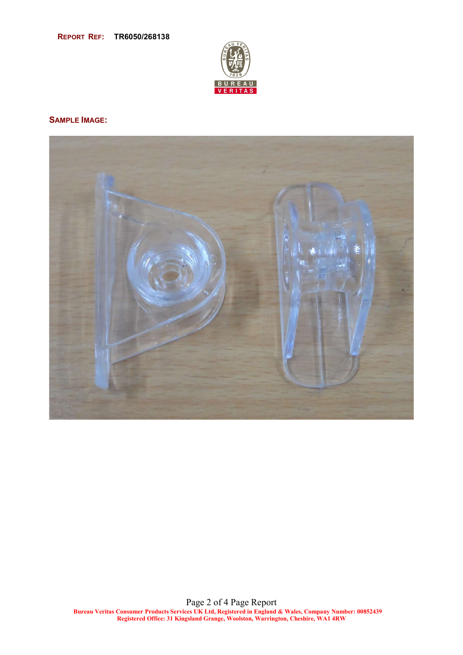

## SAMPLE IMAGE:

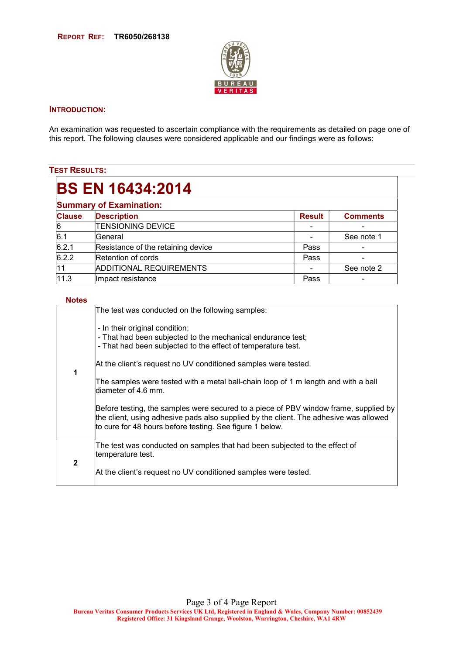

### INTRODUCTION:

An examination was requested to ascertain compliance with the requirements as detailed on page one of this report. The following clauses were considered applicable and our findings were as follows:

## TEST RESULTS:

| <b>BS EN 16434:2014</b>        |                                    |               |                 |  |
|--------------------------------|------------------------------------|---------------|-----------------|--|
| <b>Summary of Examination:</b> |                                    |               |                 |  |
| <b>Clause</b>                  | <b>Description</b>                 | <b>Result</b> | <b>Comments</b> |  |
| 6                              | <b>TENSIONING DEVICE</b>           |               |                 |  |
| l6.1                           | lGeneral                           |               | See note 1      |  |
| 6.2.1                          | Resistance of the retaining device | Pass          |                 |  |
| 6.2.2                          | Retention of cords                 | Pass          |                 |  |
| 11                             | <b>ADDITIONAL REQUIREMENTS</b>     |               | See note 2      |  |
| 11.3                           | Impact resistance                  | Pass          |                 |  |

#### Notes

|  |              | The test was conducted on the following samples:                                                                                                                                                                                          |
|--|--------------|-------------------------------------------------------------------------------------------------------------------------------------------------------------------------------------------------------------------------------------------|
|  |              | - In their original condition;<br>- That had been subjected to the mechanical endurance test;<br>- That had been subjected to the effect of temperature test.                                                                             |
|  | 1            | At the client's request no UV conditioned samples were tested.                                                                                                                                                                            |
|  |              | The samples were tested with a metal ball-chain loop of 1 m length and with a ball<br>diameter of 4.6 mm.                                                                                                                                 |
|  |              | Before testing, the samples were secured to a piece of PBV window frame, supplied by<br>the client, using adhesive pads also supplied by the client. The adhesive was allowed<br>to cure for 48 hours before testing. See figure 1 below. |
|  |              | The test was conducted on samples that had been subjected to the effect of<br>temperature test.                                                                                                                                           |
|  | $\mathbf{2}$ | At the client's request no UV conditioned samples were tested.                                                                                                                                                                            |